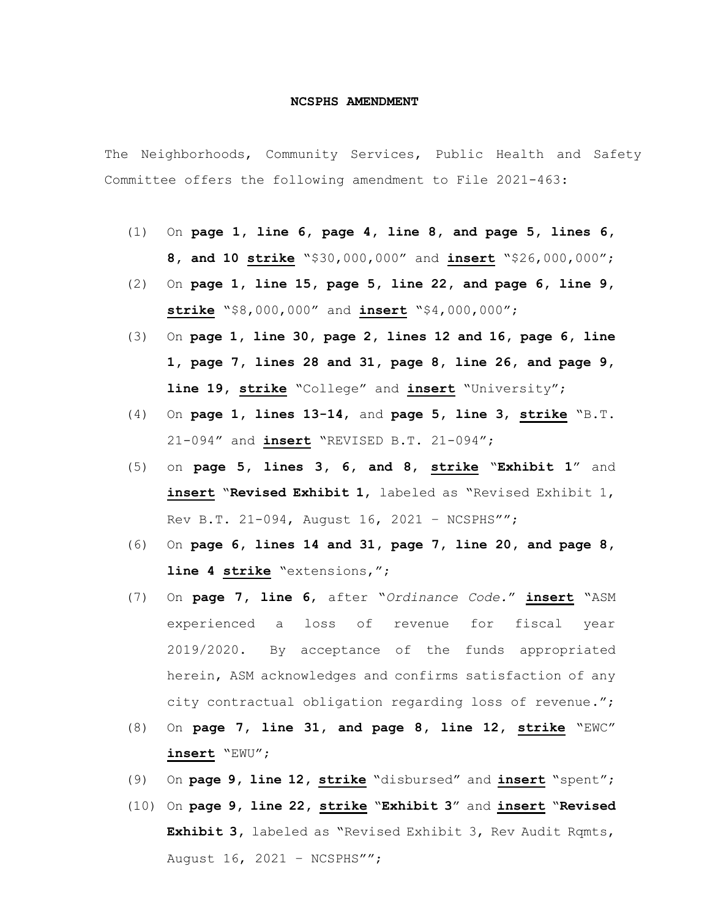## **NCSPHS AMENDMENT**

The Neighborhoods, Community Services, Public Health and Safety Committee offers the following amendment to File 2021-463:

- (1) On **page 1, line 6, page 4, line 8, and page 5, lines 6, 8, and 10 strike** "\$30,000,000" and **insert** "\$26,000,000";
- (2) On **page 1, line 15, page 5, line 22, and page 6, line 9, strike** "\$8,000,000" and **insert** "\$4,000,000";
- (3) On **page 1, line 30, page 2, lines 12 and 16, page 6, line 1, page 7, lines 28 and 31, page 8, line 26, and page 9, line 19, strike** "College" and **insert** "University";
- (4) On **page 1, lines 13-14**, and **page 5, line 3**, **strike** "B.T. 21-094" and **insert** "REVISED B.T. 21-094";
- (5) on **page 5, lines 3, 6, and 8**, **strike** "**Exhibit 1**" and **insert** "**Revised Exhibit 1**, labeled as "Revised Exhibit 1, Rev B.T. 21-094, August 16, 2021 – NCSPHS"";
- (6) On **page 6, lines 14 and 31, page 7, line 20, and page 8, line 4 strike** "extensions,";
- (7) On **page 7, line 6**, after "*Ordinance Code.*" **insert** "ASM experienced a loss of revenue for fiscal year 2019/2020. By acceptance of the funds appropriated herein, ASM acknowledges and confirms satisfaction of any city contractual obligation regarding loss of revenue.";
- (8) On **page 7, line 31, and page 8, line 12, strike** "EWC" **insert** "EWU";
- (9) On **page 9, line 12, strike** "disbursed" and **insert** "spent";
- (10) On **page 9, line 22, strike** "**Exhibit 3**" and **insert** "**Revised Exhibit 3,** labeled as "Revised Exhibit 3, Rev Audit Rqmts, August 16, 2021 – NCSPHS"";